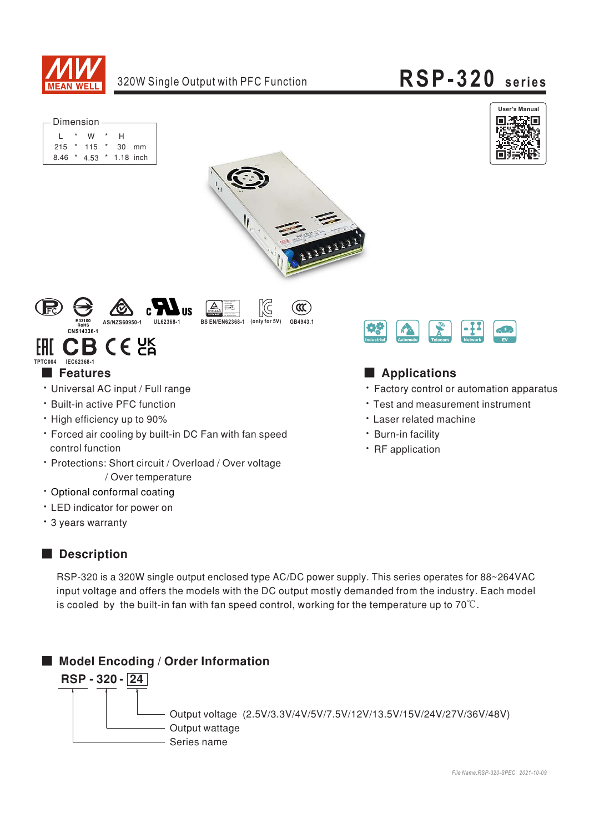

 $\triangle$ lisherbet<br>Sepatra Maye<br>Setrahid ang

**BS EN/EN62368-1** 

# RSP-320 series



| – Dimension – |  |               |  |                  |       |  |  |
|---------------|--|---------------|--|------------------|-------|--|--|
|               |  | w             |  | н                |       |  |  |
|               |  | $215$ * 115 * |  |                  | 30 mm |  |  |
| 8.46          |  |               |  | 4.53 * 1.18 inch |       |  |  |



 $\infty$ 

GB4943.1



### $C \in \mathcal{C}^{\text{UK}}$ FHT CI TPTC004 **IFC62368-**

### **Features**

- · Universal AC input / Full range
- · Built-in active PFC function
- High efficiency up to 90%
- \* Forced air cooling by built-in DC Fan with fan speed control function
- Protections: Short circuit / Overload / Over voltage / Over temperature
- · Optional conformal coating
- LED indicator for power on
- \* 3 years warranty

### Description

RSP-320 is a 320W single output enclosed type AC/DC power supply. This series operates for 88~264VAC input voltage and offers the models with the DC output mostly demanded from the industry. Each model is cooled by the built-in fan with fan speed control, working for the temperature up to  $70^{\circ}$ C.





## Applications

- Factory control or automation apparatus
- Test and measurement instrument
- **· Laser related machine**
- · Burn-in facility
- · RF application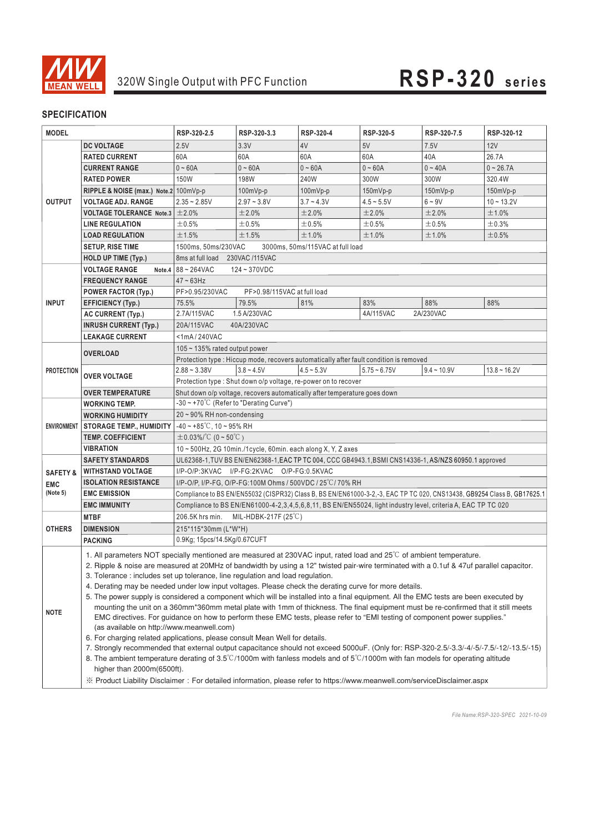

| <b>MODEL</b>        |                                                                                                                                                                                                                                                                                                                                                                                                                                                                                                                                                                                                                                                                                                                                                                                                                                                                                                                                                                                                                                                                                                                                                                                                                                                                                                               | RSP-320-2.5                                                                                                             | RSP-320-3.3                 | RSP-320-4    | RSP-320-5      | RSP-320-7.5   | RSP-320-12     |  |  |  |
|---------------------|---------------------------------------------------------------------------------------------------------------------------------------------------------------------------------------------------------------------------------------------------------------------------------------------------------------------------------------------------------------------------------------------------------------------------------------------------------------------------------------------------------------------------------------------------------------------------------------------------------------------------------------------------------------------------------------------------------------------------------------------------------------------------------------------------------------------------------------------------------------------------------------------------------------------------------------------------------------------------------------------------------------------------------------------------------------------------------------------------------------------------------------------------------------------------------------------------------------------------------------------------------------------------------------------------------------|-------------------------------------------------------------------------------------------------------------------------|-----------------------------|--------------|----------------|---------------|----------------|--|--|--|
| <b>OUTPUT</b>       | <b>DC VOLTAGE</b>                                                                                                                                                                                                                                                                                                                                                                                                                                                                                                                                                                                                                                                                                                                                                                                                                                                                                                                                                                                                                                                                                                                                                                                                                                                                                             | 2.5V                                                                                                                    | 3.3V                        | 4V           | 5V             | 7.5V          | 12V            |  |  |  |
|                     | <b>RATED CURRENT</b>                                                                                                                                                                                                                                                                                                                                                                                                                                                                                                                                                                                                                                                                                                                                                                                                                                                                                                                                                                                                                                                                                                                                                                                                                                                                                          | 60A                                                                                                                     | 60A                         | 60A          | 60A            | 40A           | 26.7A          |  |  |  |
|                     | <b>CURRENT RANGE</b>                                                                                                                                                                                                                                                                                                                                                                                                                                                                                                                                                                                                                                                                                                                                                                                                                                                                                                                                                                                                                                                                                                                                                                                                                                                                                          | $0 - 60A$                                                                                                               | $0 - 60A$                   | $0 - 60A$    | $0 - 60A$      | $0 - 40A$     | $0 - 26.7A$    |  |  |  |
|                     | <b>RATED POWER</b>                                                                                                                                                                                                                                                                                                                                                                                                                                                                                                                                                                                                                                                                                                                                                                                                                                                                                                                                                                                                                                                                                                                                                                                                                                                                                            | <b>150W</b>                                                                                                             | 198W                        | 240W         | 300W           | 300W          | 320.4W         |  |  |  |
|                     | RIPPLE & NOISE (max.) Note.2 100mVp-p                                                                                                                                                                                                                                                                                                                                                                                                                                                                                                                                                                                                                                                                                                                                                                                                                                                                                                                                                                                                                                                                                                                                                                                                                                                                         |                                                                                                                         | $100mVp-p$                  | 100mVp-p     | 150mVp-p       | $150mVp-p$    | $150mVp-p$     |  |  |  |
|                     | <b>VOLTAGE ADJ. RANGE</b>                                                                                                                                                                                                                                                                                                                                                                                                                                                                                                                                                                                                                                                                                                                                                                                                                                                                                                                                                                                                                                                                                                                                                                                                                                                                                     | $2.35 - 2.85V$                                                                                                          | $2.97 - 3.8V$               | $3.7 - 4.3V$ | $4.5 - 5.5V$   | $6 - 9V$      | $10 - 13.2V$   |  |  |  |
|                     | VOLTAGE TOLERANCE Note.3 $\pm$ 2.0%                                                                                                                                                                                                                                                                                                                                                                                                                                                                                                                                                                                                                                                                                                                                                                                                                                                                                                                                                                                                                                                                                                                                                                                                                                                                           |                                                                                                                         | ±2.0%                       | ±2.0%        | ±2.0%          | ±2.0%         | ±1.0%          |  |  |  |
|                     | <b>LINE REGULATION</b>                                                                                                                                                                                                                                                                                                                                                                                                                                                                                                                                                                                                                                                                                                                                                                                                                                                                                                                                                                                                                                                                                                                                                                                                                                                                                        | ±0.5%                                                                                                                   | ±0.5%                       | ±0.5%        | ±0.5%          | ±0.5%         | ±0.3%          |  |  |  |
|                     | <b>LOAD REGULATION</b>                                                                                                                                                                                                                                                                                                                                                                                                                                                                                                                                                                                                                                                                                                                                                                                                                                                                                                                                                                                                                                                                                                                                                                                                                                                                                        | ±1.5%                                                                                                                   | ±1.5%                       | ±1.0%        | ±1.0%          | ±1.0%         | ±0.5%          |  |  |  |
|                     | <b>SETUP, RISE TIME</b>                                                                                                                                                                                                                                                                                                                                                                                                                                                                                                                                                                                                                                                                                                                                                                                                                                                                                                                                                                                                                                                                                                                                                                                                                                                                                       | 1500ms. 50ms/230VAC<br>3000ms, 50ms/115VAC at full load                                                                 |                             |              |                |               |                |  |  |  |
|                     | HOLD UP TIME (Typ.)                                                                                                                                                                                                                                                                                                                                                                                                                                                                                                                                                                                                                                                                                                                                                                                                                                                                                                                                                                                                                                                                                                                                                                                                                                                                                           | 8ms at full load 230VAC /115VAC                                                                                         |                             |              |                |               |                |  |  |  |
|                     | <b>VOLTAGE RANGE</b>                                                                                                                                                                                                                                                                                                                                                                                                                                                                                                                                                                                                                                                                                                                                                                                                                                                                                                                                                                                                                                                                                                                                                                                                                                                                                          | Note.4 $88 - 264$ VAC                                                                                                   | 124~370VDC                  |              |                |               |                |  |  |  |
|                     | <b>FREQUENCY RANGE</b>                                                                                                                                                                                                                                                                                                                                                                                                                                                                                                                                                                                                                                                                                                                                                                                                                                                                                                                                                                                                                                                                                                                                                                                                                                                                                        | $47 \sim 63$ Hz                                                                                                         |                             |              |                |               |                |  |  |  |
|                     | <b>POWER FACTOR (Typ.)</b>                                                                                                                                                                                                                                                                                                                                                                                                                                                                                                                                                                                                                                                                                                                                                                                                                                                                                                                                                                                                                                                                                                                                                                                                                                                                                    | PF>0.95/230VAC                                                                                                          | PF>0.98/115VAC at full load |              |                |               |                |  |  |  |
| <b>INPUT</b>        | <b>EFFICIENCY (Typ.)</b>                                                                                                                                                                                                                                                                                                                                                                                                                                                                                                                                                                                                                                                                                                                                                                                                                                                                                                                                                                                                                                                                                                                                                                                                                                                                                      | 75.5%                                                                                                                   | 79.5%                       | 81%          | 83%            | 88%           | 88%            |  |  |  |
|                     | <b>AC CURRENT (Typ.)</b>                                                                                                                                                                                                                                                                                                                                                                                                                                                                                                                                                                                                                                                                                                                                                                                                                                                                                                                                                                                                                                                                                                                                                                                                                                                                                      | 2.7A/115VAC<br>1.5 A/230VAC<br>4A/115VAC<br>2A/230VAC                                                                   |                             |              |                |               |                |  |  |  |
|                     | <b>INRUSH CURRENT (Typ.)</b>                                                                                                                                                                                                                                                                                                                                                                                                                                                                                                                                                                                                                                                                                                                                                                                                                                                                                                                                                                                                                                                                                                                                                                                                                                                                                  | 20A/115VAC                                                                                                              | 40A/230VAC                  |              |                |               |                |  |  |  |
|                     | <b>LEAKAGE CURRENT</b>                                                                                                                                                                                                                                                                                                                                                                                                                                                                                                                                                                                                                                                                                                                                                                                                                                                                                                                                                                                                                                                                                                                                                                                                                                                                                        | $<$ 1mA/240VAC                                                                                                          |                             |              |                |               |                |  |  |  |
|                     | <b>OVERLOAD</b>                                                                                                                                                                                                                                                                                                                                                                                                                                                                                                                                                                                                                                                                                                                                                                                                                                                                                                                                                                                                                                                                                                                                                                                                                                                                                               | 105 $\sim$ 135% rated output power                                                                                      |                             |              |                |               |                |  |  |  |
|                     |                                                                                                                                                                                                                                                                                                                                                                                                                                                                                                                                                                                                                                                                                                                                                                                                                                                                                                                                                                                                                                                                                                                                                                                                                                                                                                               | Protection type : Hiccup mode, recovers automatically after fault condition is removed                                  |                             |              |                |               |                |  |  |  |
| <b>PROTECTION</b>   | <b>OVER VOLTAGE</b>                                                                                                                                                                                                                                                                                                                                                                                                                                                                                                                                                                                                                                                                                                                                                                                                                                                                                                                                                                                                                                                                                                                                                                                                                                                                                           | $2.88 - 3.38V$                                                                                                          | $3.8 - 4.5V$                | $4.5 - 5.3V$ | $5.75 - 6.75V$ | $9.4 - 10.9V$ | $13.8 - 16.2V$ |  |  |  |
|                     |                                                                                                                                                                                                                                                                                                                                                                                                                                                                                                                                                                                                                                                                                                                                                                                                                                                                                                                                                                                                                                                                                                                                                                                                                                                                                                               | Protection type : Shut down o/p voltage, re-power on to recover                                                         |                             |              |                |               |                |  |  |  |
|                     | <b>OVER TEMPERATURE</b>                                                                                                                                                                                                                                                                                                                                                                                                                                                                                                                                                                                                                                                                                                                                                                                                                                                                                                                                                                                                                                                                                                                                                                                                                                                                                       | Shut down o/p voltage, recovers automatically after temperature goes down                                               |                             |              |                |               |                |  |  |  |
|                     | <b>WORKING TEMP.</b>                                                                                                                                                                                                                                                                                                                                                                                                                                                                                                                                                                                                                                                                                                                                                                                                                                                                                                                                                                                                                                                                                                                                                                                                                                                                                          | $-30 \sim +70^{\circ}$ C (Refer to "Derating Curve")                                                                    |                             |              |                |               |                |  |  |  |
|                     | <b>WORKING HUMIDITY</b>                                                                                                                                                                                                                                                                                                                                                                                                                                                                                                                                                                                                                                                                                                                                                                                                                                                                                                                                                                                                                                                                                                                                                                                                                                                                                       | 20~90% RH non-condensing                                                                                                |                             |              |                |               |                |  |  |  |
| <b>ENVIRONMENT</b>  | <b>STORAGE TEMP., HUMIDITY</b>                                                                                                                                                                                                                                                                                                                                                                                                                                                                                                                                                                                                                                                                                                                                                                                                                                                                                                                                                                                                                                                                                                                                                                                                                                                                                | $-40 \sim +85^{\circ}$ C, 10 ~ 95% RH                                                                                   |                             |              |                |               |                |  |  |  |
|                     | <b>TEMP. COEFFICIENT</b>                                                                                                                                                                                                                                                                                                                                                                                                                                                                                                                                                                                                                                                                                                                                                                                                                                                                                                                                                                                                                                                                                                                                                                                                                                                                                      | $\pm 0.03\%$ /°C (0 ~ 50°C)                                                                                             |                             |              |                |               |                |  |  |  |
|                     | VIBRATION                                                                                                                                                                                                                                                                                                                                                                                                                                                                                                                                                                                                                                                                                                                                                                                                                                                                                                                                                                                                                                                                                                                                                                                                                                                                                                     | 10~500Hz, 2G 10min./1cycle, 60min. each along X, Y, Z axes                                                              |                             |              |                |               |                |  |  |  |
|                     | <b>SAFETY STANDARDS</b>                                                                                                                                                                                                                                                                                                                                                                                                                                                                                                                                                                                                                                                                                                                                                                                                                                                                                                                                                                                                                                                                                                                                                                                                                                                                                       | UL62368-1, TUV BS EN/EN62368-1, EAC TP TC 004, CCC GB4943.1, BSMI CNS14336-1, AS/NZS 60950.1 approved                   |                             |              |                |               |                |  |  |  |
| <b>SAFETY &amp;</b> | <b>WITHSTAND VOLTAGE</b>                                                                                                                                                                                                                                                                                                                                                                                                                                                                                                                                                                                                                                                                                                                                                                                                                                                                                                                                                                                                                                                                                                                                                                                                                                                                                      | I/P-O/P:3KVAC I/P-FG:2KVAC O/P-FG:0.5KVAC                                                                               |                             |              |                |               |                |  |  |  |
| <b>EMC</b>          | <b>ISOLATION RESISTANCE</b>                                                                                                                                                                                                                                                                                                                                                                                                                                                                                                                                                                                                                                                                                                                                                                                                                                                                                                                                                                                                                                                                                                                                                                                                                                                                                   | I/P-O/P, I/P-FG, O/P-FG:100M Ohms / 500VDC / 25°C/70% RH                                                                |                             |              |                |               |                |  |  |  |
| (Note 5)            | <b>EMC EMISSION</b>                                                                                                                                                                                                                                                                                                                                                                                                                                                                                                                                                                                                                                                                                                                                                                                                                                                                                                                                                                                                                                                                                                                                                                                                                                                                                           | Compliance to BS EN/EN55032 (CISPR32) Class B, BS EN/EN61000-3-2,-3, EAC TP TC 020, CNS13438, GB9254 Class B, GB17625.1 |                             |              |                |               |                |  |  |  |
|                     | <b>EMC IMMUNITY</b>                                                                                                                                                                                                                                                                                                                                                                                                                                                                                                                                                                                                                                                                                                                                                                                                                                                                                                                                                                                                                                                                                                                                                                                                                                                                                           | Compliance to BS EN/EN61000-4-2,3,4,5,6,8,11, BS EN/EN55024, light industry level, criteria A, EAC TP TC 020            |                             |              |                |               |                |  |  |  |
|                     | <b>MTBF</b>                                                                                                                                                                                                                                                                                                                                                                                                                                                                                                                                                                                                                                                                                                                                                                                                                                                                                                                                                                                                                                                                                                                                                                                                                                                                                                   | 206.5K hrs min.<br>MIL-HDBK-217F $(25^{\circ}C)$                                                                        |                             |              |                |               |                |  |  |  |
| <b>OTHERS</b>       | <b>DIMENSION</b>                                                                                                                                                                                                                                                                                                                                                                                                                                                                                                                                                                                                                                                                                                                                                                                                                                                                                                                                                                                                                                                                                                                                                                                                                                                                                              | 215*115*30mm (L*W*H)                                                                                                    |                             |              |                |               |                |  |  |  |
|                     | <b>PACKING</b>                                                                                                                                                                                                                                                                                                                                                                                                                                                                                                                                                                                                                                                                                                                                                                                                                                                                                                                                                                                                                                                                                                                                                                                                                                                                                                | 0.9Kg; 15pcs/14.5Kg/0.67CUFT                                                                                            |                             |              |                |               |                |  |  |  |
| <b>NOTE</b>         | 1. All parameters NOT specially mentioned are measured at 230VAC input, rated load and 25°C of ambient temperature.<br>2. Ripple & noise are measured at 20MHz of bandwidth by using a 12" twisted pair-wire terminated with a 0.1uf & 47uf parallel capacitor.<br>3. Tolerance: includes set up tolerance, line regulation and load regulation.<br>4. Derating may be needed under low input voltages. Please check the derating curve for more details.<br>5. The power supply is considered a component which will be installed into a final equipment. All the EMC tests are been executed by<br>mounting the unit on a 360mm*360mm metal plate with 1mm of thickness. The final equipment must be re-confirmed that it still meets<br>EMC directives. For guidance on how to perform these EMC tests, please refer to "EMI testing of component power supplies."<br>(as available on http://www.meanwell.com)<br>6. For charging related applications, please consult Mean Well for details.<br>7. Strongly recommended that external output capacitance should not exceed 5000uF. (Only for: RSP-320-2.5/-3.3/-4/-5/-7.5/-12/-13.5/-15)<br>8. The ambient temperature derating of 3.5°C/1000m with fanless models and of 5°C/1000m with fan models for operating altitude<br>higher than 2000m(6500ft). |                                                                                                                         |                             |              |                |               |                |  |  |  |
|                     | X Product Liability Disclaimer: For detailed information, please refer to https://www.meanwell.com/serviceDisclaimer.aspx                                                                                                                                                                                                                                                                                                                                                                                                                                                                                                                                                                                                                                                                                                                                                                                                                                                                                                                                                                                                                                                                                                                                                                                     |                                                                                                                         |                             |              |                |               |                |  |  |  |

*File Name:RSP-320-SPEC 2021-10-09*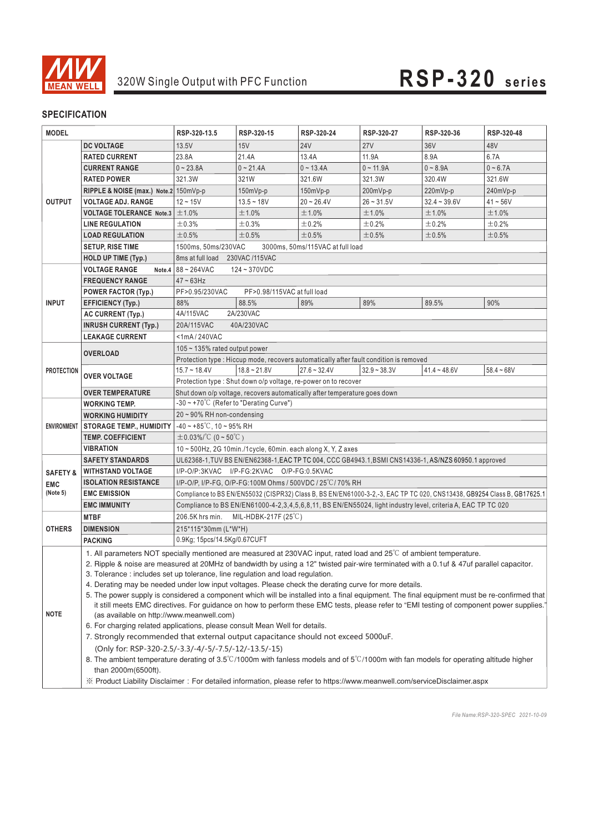

| <b>MODEL</b>                                                                                                                                                                                                                                                        |                                                                                                                                                                                         | RSP-320-13.5                                                                                                                                       | RSP-320-15         | RSP-320-24     | RSP-320-27     | RSP-320-36     | RSP-320-48   |  |  |
|---------------------------------------------------------------------------------------------------------------------------------------------------------------------------------------------------------------------------------------------------------------------|-----------------------------------------------------------------------------------------------------------------------------------------------------------------------------------------|----------------------------------------------------------------------------------------------------------------------------------------------------|--------------------|----------------|----------------|----------------|--------------|--|--|
|                                                                                                                                                                                                                                                                     |                                                                                                                                                                                         |                                                                                                                                                    |                    |                |                |                |              |  |  |
| <b>OUTPUT</b>                                                                                                                                                                                                                                                       | <b>DC VOLTAGE</b>                                                                                                                                                                       | 13.5V                                                                                                                                              | 15V                | <b>24V</b>     | 27V            | 36V            | 48V          |  |  |
|                                                                                                                                                                                                                                                                     | <b>RATED CURRENT</b>                                                                                                                                                                    | 23.8A                                                                                                                                              | 21.4A              | 13.4A          | 11.9A          | 8.9A           | 6.7A         |  |  |
|                                                                                                                                                                                                                                                                     | <b>CURRENT RANGE</b>                                                                                                                                                                    | $0 - 23.8A$                                                                                                                                        | $0 - 21.4A$        | $0 - 13.4A$    | $0 - 11.9A$    | $0 - 8.9A$     | $0 - 6.7A$   |  |  |
|                                                                                                                                                                                                                                                                     | <b>RATED POWER</b>                                                                                                                                                                      | 321.3W                                                                                                                                             | 321W               | 321.6W         | 321.3W         | 320.4W         | 321.6W       |  |  |
|                                                                                                                                                                                                                                                                     | RIPPLE & NOISE (max.) Note.2 $150mVp-p$                                                                                                                                                 |                                                                                                                                                    | $150mVp-p$         | $150mVp-p$     | 200mVp-p       | 220mVp-p       | 240mVp-p     |  |  |
|                                                                                                                                                                                                                                                                     | <b>VOLTAGE ADJ. RANGE</b>                                                                                                                                                               | $12 - 15V$                                                                                                                                         | $13.5 - 18V$       | $20 - 26.4V$   | $26 - 31.5V$   | $32.4 - 39.6V$ | $41 - 56V$   |  |  |
|                                                                                                                                                                                                                                                                     | <b>VOLTAGE TOLERANCE Note.3</b><br><b>LINE REGULATION</b>                                                                                                                               | ±1.0%                                                                                                                                              | ±1.0%<br>±0.3%     | ±1.0%          | ±1.0%<br>±0.2% | ±1.0%          | ±1.0%        |  |  |
|                                                                                                                                                                                                                                                                     |                                                                                                                                                                                         | ±0.3%                                                                                                                                              |                    | ±0.2%          |                | ±0.2%          | ±0.2%        |  |  |
|                                                                                                                                                                                                                                                                     | <b>LOAD REGULATION</b><br><b>SETUP, RISE TIME</b>                                                                                                                                       | ±0.5%<br>±0.5%<br>±0.5%<br>±0.5%<br>±0.5%<br>±0.5%                                                                                                 |                    |                |                |                |              |  |  |
|                                                                                                                                                                                                                                                                     |                                                                                                                                                                                         | 1500ms, 50ms/230VAC<br>3000ms, 50ms/115VAC at full load                                                                                            |                    |                |                |                |              |  |  |
|                                                                                                                                                                                                                                                                     | <b>HOLD UP TIME (Typ.)</b>                                                                                                                                                              | 8ms at full load 230VAC /115VAC                                                                                                                    |                    |                |                |                |              |  |  |
|                                                                                                                                                                                                                                                                     | <b>VOLTAGE RANGE</b>                                                                                                                                                                    | Note.4 $ 88 - 264$ VAC<br>124~370VDC                                                                                                               |                    |                |                |                |              |  |  |
|                                                                                                                                                                                                                                                                     | <b>FREQUENCY RANGE</b>                                                                                                                                                                  | $47 \sim 63$ Hz<br>PF>0.98/115VAC at full load                                                                                                     |                    |                |                |                |              |  |  |
|                                                                                                                                                                                                                                                                     | <b>POWER FACTOR (Typ.)</b>                                                                                                                                                              | PF>0.95/230VAC                                                                                                                                     |                    | 89%            |                |                |              |  |  |
| <b>INPUT</b>                                                                                                                                                                                                                                                        | <b>EFFICIENCY (Typ.)</b>                                                                                                                                                                | 88%<br>4A/115VAC                                                                                                                                   | 88.5%<br>2A/230VAC |                | 89%            | 89.5%          | 90%          |  |  |
|                                                                                                                                                                                                                                                                     | <b>AC CURRENT (Typ.)</b>                                                                                                                                                                |                                                                                                                                                    |                    |                |                |                |              |  |  |
|                                                                                                                                                                                                                                                                     | <b>INRUSH CURRENT (Typ.)</b>                                                                                                                                                            | 20A/115VAC<br>40A/230VAC                                                                                                                           |                    |                |                |                |              |  |  |
|                                                                                                                                                                                                                                                                     | <b>LEAKAGE CURRENT</b>                                                                                                                                                                  | $<$ 1mA/240VAC                                                                                                                                     |                    |                |                |                |              |  |  |
|                                                                                                                                                                                                                                                                     | $105 \sim 135\%$ rated output power<br><b>OVERLOAD</b><br>Protection type : Hiccup mode, recovers automatically after fault condition is removed                                        |                                                                                                                                                    |                    |                |                |                |              |  |  |
|                                                                                                                                                                                                                                                                     |                                                                                                                                                                                         |                                                                                                                                                    |                    |                |                |                |              |  |  |
| <b>PROTECTION</b>                                                                                                                                                                                                                                                   | <b>OVER VOLTAGE</b>                                                                                                                                                                     | $15.7 \sim 18.4V$                                                                                                                                  | $18.8 - 21.8V$     | $27.6 - 32.4V$ | $32.9 - 38.3V$ | $41.4 - 48.6V$ | $58.4 - 68V$ |  |  |
|                                                                                                                                                                                                                                                                     |                                                                                                                                                                                         | Protection type: Shut down o/p voltage, re-power on to recover                                                                                     |                    |                |                |                |              |  |  |
|                                                                                                                                                                                                                                                                     | <b>OVER TEMPERATURE</b>                                                                                                                                                                 | Shut down o/p voltage, recovers automatically after temperature goes down<br>$-30 \sim +70^{\circ}$ C (Refer to "Derating Curve")                  |                    |                |                |                |              |  |  |
|                                                                                                                                                                                                                                                                     | <b>WORKING TEMP.</b>                                                                                                                                                                    |                                                                                                                                                    |                    |                |                |                |              |  |  |
| <b>ENVIRONMENT</b>                                                                                                                                                                                                                                                  | <b>WORKING HUMIDITY</b><br><b>STORAGE TEMP., HUMIDITY</b>                                                                                                                               | 20~90% RH non-condensing                                                                                                                           |                    |                |                |                |              |  |  |
|                                                                                                                                                                                                                                                                     | <b>TEMP. COEFFICIENT</b>                                                                                                                                                                | $-40 \sim +85^{\circ}$ C, 10 ~ 95% RH                                                                                                              |                    |                |                |                |              |  |  |
|                                                                                                                                                                                                                                                                     | VIBRATION                                                                                                                                                                               | $\pm 0.03\%$ /°C (0~50°C)                                                                                                                          |                    |                |                |                |              |  |  |
|                                                                                                                                                                                                                                                                     | <b>SAFETY STANDARDS</b>                                                                                                                                                                 | 10~500Hz, 2G 10min./1cycle, 60min. each along X, Y, Z axes                                                                                         |                    |                |                |                |              |  |  |
|                                                                                                                                                                                                                                                                     | <b>WITHSTAND VOLTAGE</b>                                                                                                                                                                | UL62368-1, TUV BS EN/EN62368-1, EAC TP TC 004, CCC GB4943.1, BSMI CNS14336-1, AS/NZS 60950.1 approved<br>I/P-O/P:3KVAC I/P-FG:2KVAC O/P-FG:0.5KVAC |                    |                |                |                |              |  |  |
| <b>SAFETY &amp;</b>                                                                                                                                                                                                                                                 |                                                                                                                                                                                         |                                                                                                                                                    |                    |                |                |                |              |  |  |
| I/P-O/P, I/P-FG, O/P-FG:100M Ohms / 500VDC / 25°C/70% RH<br><b>ISOLATION RESISTANCE</b><br><b>EMC</b><br>(Note 5)<br><b>EMC EMISSION</b><br>Compliance to BS EN/EN55032 (CISPR32) Class B, BS EN/EN61000-3-2,-3, EAC TP TC 020, CNS13438, GB9254 Class B, GB17625.1 |                                                                                                                                                                                         |                                                                                                                                                    |                    |                |                |                |              |  |  |
|                                                                                                                                                                                                                                                                     | <b>EMC IMMUNITY</b>                                                                                                                                                                     |                                                                                                                                                    |                    |                |                |                |              |  |  |
|                                                                                                                                                                                                                                                                     | <b>MTBF</b>                                                                                                                                                                             | Compliance to BS EN/EN61000-4-2,3,4,5,6,8,11, BS EN/EN55024, light industry level, criteria A, EAC TP TC 020                                       |                    |                |                |                |              |  |  |
|                                                                                                                                                                                                                                                                     | <b>DIMENSION</b>                                                                                                                                                                        | 206.5K hrs min.<br>MIL-HDBK-217F $(25^{\circ}C)$                                                                                                   |                    |                |                |                |              |  |  |
| <b>OTHERS</b>                                                                                                                                                                                                                                                       |                                                                                                                                                                                         | 215*115*30mm (L*W*H)                                                                                                                               |                    |                |                |                |              |  |  |
|                                                                                                                                                                                                                                                                     | 0.9Kg; 15pcs/14.5Kg/0.67CUFT<br><b>PACKING</b>                                                                                                                                          |                                                                                                                                                    |                    |                |                |                |              |  |  |
|                                                                                                                                                                                                                                                                     | 1. All parameters NOT specially mentioned are measured at 230VAC input, rated load and 25°C of ambient temperature.                                                                     |                                                                                                                                                    |                    |                |                |                |              |  |  |
|                                                                                                                                                                                                                                                                     | 2. Ripple & noise are measured at 20MHz of bandwidth by using a 12" twisted pair-wire terminated with a 0.1uf & 47uf parallel capacitor.                                                |                                                                                                                                                    |                    |                |                |                |              |  |  |
|                                                                                                                                                                                                                                                                     | 3. Tolerance : includes set up tolerance, line regulation and load regulation.<br>4. Derating may be needed under low input voltages. Please check the derating curve for more details. |                                                                                                                                                    |                    |                |                |                |              |  |  |
|                                                                                                                                                                                                                                                                     | 5. The power supply is considered a component which will be installed into a final equipment. The final equipment must be re-confirmed that                                             |                                                                                                                                                    |                    |                |                |                |              |  |  |
|                                                                                                                                                                                                                                                                     |                                                                                                                                                                                         |                                                                                                                                                    |                    |                |                |                |              |  |  |
| <b>NOTE</b>                                                                                                                                                                                                                                                         | it still meets EMC directives. For guidance on how to perform these EMC tests, please refer to "EMI testing of component power supplies."<br>(as available on http://www.meanwell.com)  |                                                                                                                                                    |                    |                |                |                |              |  |  |
|                                                                                                                                                                                                                                                                     | 6. For charging related applications, please consult Mean Well for details.                                                                                                             |                                                                                                                                                    |                    |                |                |                |              |  |  |
|                                                                                                                                                                                                                                                                     | 7. Strongly recommended that external output capacitance should not exceed 5000uF.                                                                                                      |                                                                                                                                                    |                    |                |                |                |              |  |  |
|                                                                                                                                                                                                                                                                     | (Only for: RSP-320-2.5/-3.3/-4/-5/-7.5/-12/-13.5/-15)                                                                                                                                   |                                                                                                                                                    |                    |                |                |                |              |  |  |
|                                                                                                                                                                                                                                                                     | 8. The ambient temperature derating of $3.5^{\circ}$ C/1000m with fanless models and of $5^{\circ}$ C/1000m with fan models for operating altitude higher<br>than 2000m(6500ft).        |                                                                                                                                                    |                    |                |                |                |              |  |  |
|                                                                                                                                                                                                                                                                     | X Product Liability Disclaimer: For detailed information, please refer to https://www.meanwell.com/serviceDisclaimer.aspx                                                               |                                                                                                                                                    |                    |                |                |                |              |  |  |